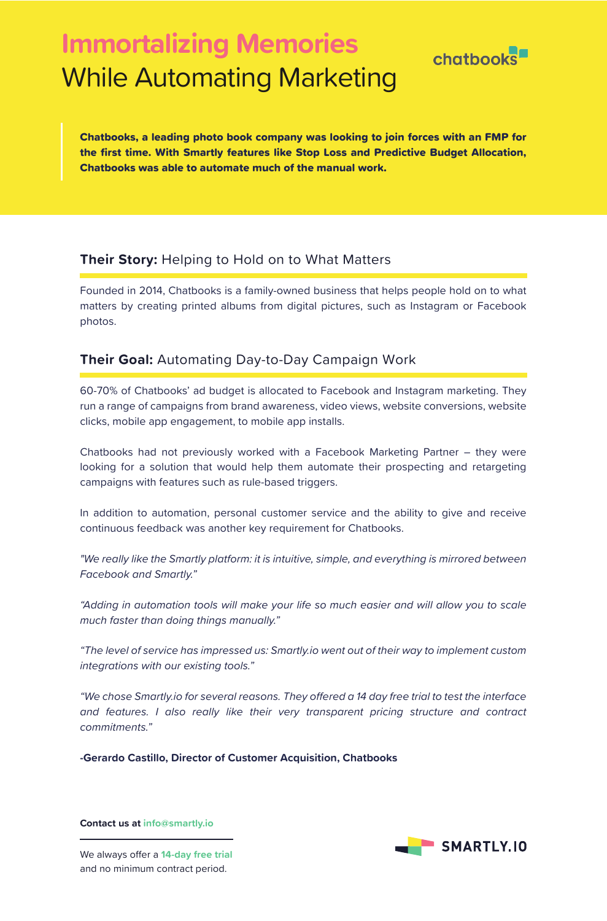# **Immortalizing Memories** While Automating Marketing



Chatbooks, a leading photo book company was looking to join forces with an FMP for the first time. With Smartly features like Stop Loss and Predictive Budget Allocation, Chatbooks was able to automate much of the manual work.

## **Their Story:** Helping to Hold on to What Matters

Founded in 2014, Chatbooks is a family-owned business that helps people hold on to what matters by creating printed albums from digital pictures, such as Instagram or Facebook photos.

### **Their Goal:** Automating Day-to-Day Campaign Work

60-70% of Chatbooks' ad budget is allocated to Facebook and Instagram marketing. They run a range of campaigns from brand awareness, video views, website conversions, website clicks, mobile app engagement, to mobile app installs.

Chatbooks had not previously worked with a Facebook Marketing Partner – they were looking for a solution that would help them automate their prospecting and retargeting campaigns with features such as rule-based triggers.

In addition to automation, personal customer service and the ability to give and receive continuous feedback was another key requirement for Chatbooks.

*"We really like the Smartly platform: it is intuitive, simple, and everything is mirrored between Facebook and Smartly."*

*"Adding in automation tools will make your life so much easier and will allow you to scale much faster than doing things manually."*

*"The level of service has impressed us: Smartly.io went out of their way to implement custom integrations with our existing tools."*

"We chose Smartly.io for several reasons. They offered a 14 day free trial to test the interface *and features. I also really like their very transparent pricing structure and contract commitments."*

**-Gerardo Castillo, Director of Customer Acquisition, Chatbooks**

**Contact us at info@smartly.io**



We always offer a 14-day free trial and no minimum contract period.